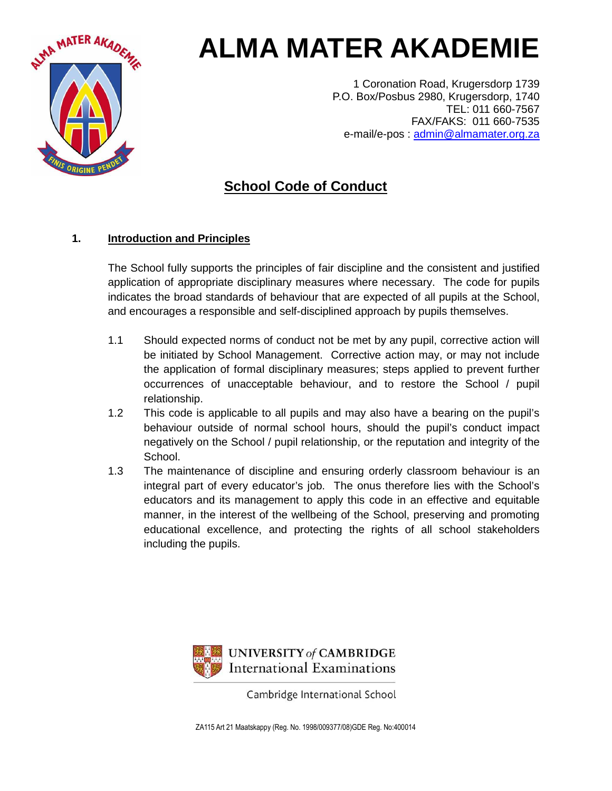

# **ALMA MATER AKADEMIE**

1 Coronation Road, Krugersdorp 1739 P.O. Box/Posbus 2980, Krugersdorp, 1740 TEL: 011 660-7567 FAX/FAKS: 011 660-7535 e-mail/e-pos : admin@almamater.org.za

## **School Code of Conduct**

### **1. Introduction and Principles**

The School fully supports the principles of fair discipline and the consistent and justified application of appropriate disciplinary measures where necessary. The code for pupils indicates the broad standards of behaviour that are expected of all pupils at the School, and encourages a responsible and self-disciplined approach by pupils themselves.

- 1.1 Should expected norms of conduct not be met by any pupil, corrective action will be initiated by School Management. Corrective action may, or may not include the application of formal disciplinary measures; steps applied to prevent further occurrences of unacceptable behaviour, and to restore the School / pupil relationship.
- 1.2 This code is applicable to all pupils and may also have a bearing on the pupil's behaviour outside of normal school hours, should the pupil's conduct impact negatively on the School / pupil relationship, or the reputation and integrity of the School.
- 1.3 The maintenance of discipline and ensuring orderly classroom behaviour is an integral part of every educator's job. The onus therefore lies with the School's educators and its management to apply this code in an effective and equitable manner, in the interest of the wellbeing of the School, preserving and promoting educational excellence, and protecting the rights of all school stakeholders including the pupils.



Cambridge International School

ZA115 Art 21 Maatskappy (Reg. No. 1998/009377/08)GDE Reg. No:400014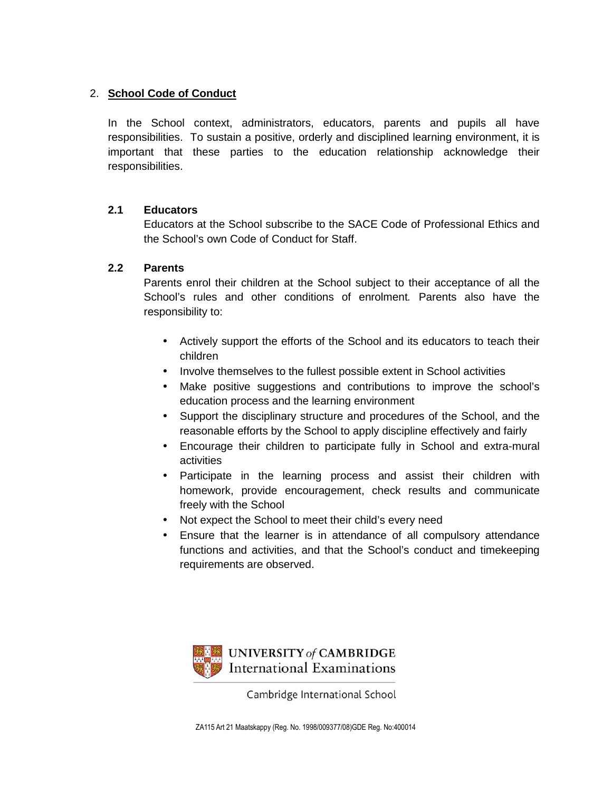#### 2. **School Code of Conduct**

In the School context, administrators, educators, parents and pupils all have responsibilities. To sustain a positive, orderly and disciplined learning environment, it is important that these parties to the education relationship acknowledge their responsibilities.

#### **2.1 Educators**

Educators at the School subscribe to the SACE Code of Professional Ethics and the School's own Code of Conduct for Staff.

#### **2.2 Parents**

Parents enrol their children at the School subject to their acceptance of all the School's rules and other conditions of enrolment. Parents also have the responsibility to:

- Actively support the efforts of the School and its educators to teach their children
- Involve themselves to the fullest possible extent in School activities
- Make positive suggestions and contributions to improve the school's education process and the learning environment
- Support the disciplinary structure and procedures of the School, and the reasonable efforts by the School to apply discipline effectively and fairly
- Encourage their children to participate fully in School and extra-mural activities
- Participate in the learning process and assist their children with homework, provide encouragement, check results and communicate freely with the School
- Not expect the School to meet their child's every need
- Ensure that the learner is in attendance of all compulsory attendance functions and activities, and that the School's conduct and timekeeping requirements are observed.



Cambridge International School

ZA115 Art 21 Maatskappy (Reg. No. 1998/009377/08)GDE Reg. No:400014